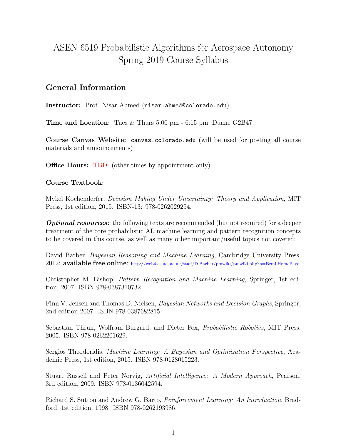# ASEN 6519 Probabilistic Algorithms for Aerospace Autonomy Spring 2019 Course Syllabus

### General Information

Instructor: Prof. Nisar Ahmed (nisar.ahmed@colorado.edu)

Time and Location: Tues & Thurs 5:00 pm - 6:15 pm, Duane G2B47.

Course Canvas Website: canvas.colorado.edu (will be used for posting all course materials and announcements)

**Office Hours:** TBD (other times by appointment only)

#### Course Textbook:

Mykel Kochenderfer, Decision Making Under Uncertainty: Theory and Application, MIT Press, 1st edition, 2015. ISBN-13: 978-0262029254.

**Optional resources:** the following texts are recommended (but not required) for a deeper treatment of the core probabilistic AI, machine learning and pattern recognition concepts to be covered in this course, as well as many other important/useful topics not covered:

David Barber, Bayesian Reasoning and Machine Learning, Cambridge University Press, 2012: available free online: http://web4.cs.ucl.ac.uk/staff/D.Barber/pmwiki/pmwiki.php?n=Brml.HomePage

Christopher M. Bishop, Pattern Recognition and Machine Learning, Springer, 1st edition, 2007. ISBN 978-0387310732.

Finn V. Jensen and Thomas D. Nielsen, Bayesian Networks and Decision Graphs, Springer, 2nd edition 2007. ISBN 978-0387682815.

Sebastian Thrun, Wolfram Burgard, and Dieter Fox, Probabilistic Robotics, MIT Press, 2005. ISBN 978-0262201629.

Sergios Theodoridis, Machine Learning: A Bayesian and Optimization Perspective, Academic Press, 1st edition, 2015. ISBN 978-0128015223.

Stuart Russell and Peter Norvig, Artificial Intelligence: A Modern Approach, Pearson, 3rd edition, 2009. ISBN 978-0136042594.

Richard S. Sutton and Andrew G. Barto, Reinforcement Learning: An Introduction, Bradford, 1st edition, 1998. ISBN 978-0262193986.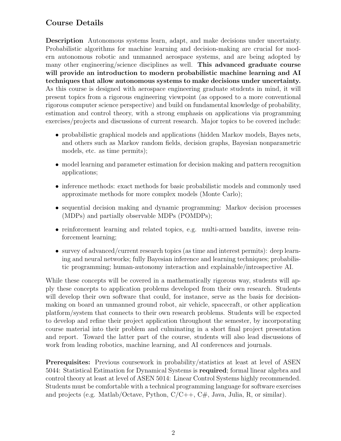## Course Details

Description Autonomous systems learn, adapt, and make decisions under uncertainty. Probabilistic algorithms for machine learning and decision-making are crucial for modern autonomous robotic and unmanned aerospace systems, and are being adopted by many other engineering/science disciplines as well. This advanced graduate course will provide an introduction to modern probabilistic machine learning and AI techniques that allow autonomous systems to make decisions under uncertainty. As this course is designed with aerospace engineering graduate students in mind, it will present topics from a rigorous engineering viewpoint (as opposed to a more conventional rigorous computer science perspective) and build on fundamental knowledge of probability, estimation and control theory, with a strong emphasis on applications via programming exercises/projects and discussions of current research. Major topics to be covered include:

- probabilistic graphical models and applications (hidden Markov models, Bayes nets, and others such as Markov random fields, decision graphs, Bayesian nonparametric models, etc. as time permits);
- model learning and parameter estimation for decision making and pattern recognition applications;
- inference methods: exact methods for basic probabilistic models and commonly used approximate methods for more complex models (Monte Carlo);
- sequential decision making and dynamic programming: Markov decision processes (MDPs) and partially observable MDPs (POMDPs);
- reinforcement learning and related topics, e.g. multi-armed bandits, inverse reinforcement learning;
- survey of advanced/current research topics (as time and interest permits): deep learning and neural networks; fully Bayesian inference and learning techniques; probabilistic programming; human-autonomy interaction and explainable/introspective AI.

While these concepts will be covered in a mathematically rigorous way, students will apply these concepts to application problems developed from their own research. Students will develop their own software that could, for instance, serve as the basis for decisionmaking on board an unmanned ground robot, air vehicle, spacecraft, or other application platform/system that connects to their own research problems. Students will be expected to develop and refine their project application throughout the semester, by incorporating course material into their problem and culminating in a short final project presentation and report. Toward the latter part of the course, students will also lead discussions of work from leading robotics, machine learning, and AI conferences and journals.

Prerequisites: Previous coursework in probability/statistics at least at level of ASEN 5044: Statistical Estimation for Dynamical Systems is required; formal linear algebra and control theory at least at level of ASEN 5014: Linear Control Systems highly recommended. Students must be comfortable with a technical programming language for software exercises and projects (e.g. Matlab/Octave, Python, C/C++, C#, Java, Julia, R, or similar).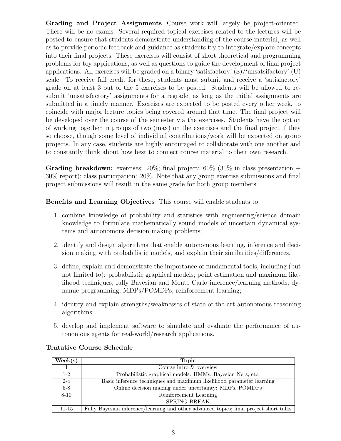Grading and Project Assignments Course work will largely be project-oriented. There will be no exams. Several required topical exercises related to the lectures will be posted to ensure that students demonstrate understanding of the course material, as well as to provide periodic feedback and guidance as students try to integrate/explore concepts into their final projects. These exercises will consist of short theoretical and programming problems for toy applications, as well as questions to guide the development of final project applications. All exercises will be graded on a binary 'satisfactory'  $(S)/$ 'unsatsifactory'  $(U)$ scale. To receive full credit for these, students must submit and receive a 'satisfactory' grade on at least 3 out of the 5 exercises to be posted. Students will be allowed to resubmit 'unsatisfactory' assignments for a regrade, as long as the initial assignments are submitted in a timely manner. Exercises are expected to be posted every other week, to coincide with major lecture topics being covered around that time. The final project will be developed over the course of the semester via the exercises. Students have the option of working together in groups of two (max) on the exercises and the final project if they so choose, though some level of individual contributions/work will be expected on group projects. In any case, students are highly encouraged to collaborate with one another and to constantly think about how best to connect course material to their own research.

**Grading breakdown:** exercises:  $20\%$ ; final project:  $60\%$  ( $30\%$  in class presentation + 30% report); class participation: 20%. Note that any group exercise submissions and final project submissions will result in the same grade for both group members.

Benefits and Learning Objectives This course will enable students to:

- 1. combine knowledge of probability and statistics with engineering/science domain knowledge to formulate mathematically sound models of uncertain dynamical systems and autonomous decision making problems;
- 2. identify and design algorithms that enable autonomous learning, inference and decision making with probabilistic models, and explain their similarities/differences.
- 3. define, explain and demonstrate the importance of fundamental tools, including (but not limited to): probabilistic graphical models; point estimation and maximum likelihood techniques; fully Bayesian and Monte Carlo inference/learning methods; dynamic programming; MDPs/POMDPs; reinforcement learning;
- 4. identify and explain strengths/weaknesses of state of the art autonomous reasoning algorithms;
- 5. develop and implement software to simulate and evaluate the performance of autonomous agents for real-world/research applications.

| $\text{Week}(s)$ | <b>Topic</b>                                                                           |
|------------------|----------------------------------------------------------------------------------------|
|                  | Course intro & overview                                                                |
| $1 - 2$          | Probabilistic graphical models: HMMs, Bayesian Nets, etc.                              |
| $2 - 4$          | Basic inference techniques and maximum likelihood parameter learning                   |
| $5 - 8$          | Online decision making under uncertainty: MDPs, POMDPs                                 |
| $8 - 10$         | Reinforcement Learning                                                                 |
|                  | SPRING BREAK                                                                           |
| $11 - 15$        | Fully Bayesian inference/learning and other advanced topics; final project short talks |

#### Tentative Course Schedule